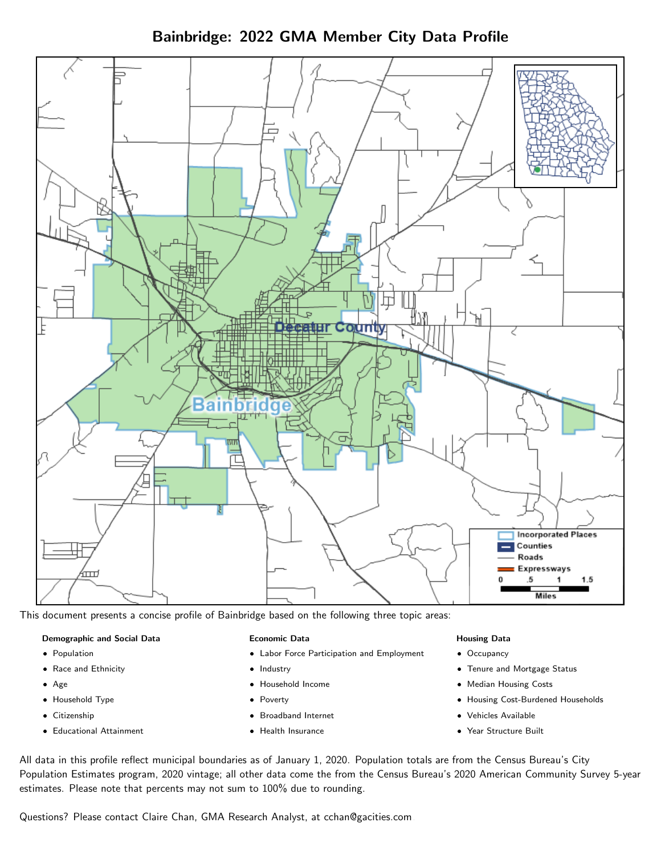Bainbridge: 2022 GMA Member City Data Profile



This document presents a concise profile of Bainbridge based on the following three topic areas:

### Demographic and Social Data

- **•** Population
- Race and Ethnicity
- Age
- Household Type
- **Citizenship**
- Educational Attainment

### Economic Data

- Labor Force Participation and Employment
- Industry
- Household Income
- Poverty
- Broadband Internet
- Health Insurance

#### Housing Data

- Occupancy
- Tenure and Mortgage Status
- Median Housing Costs
- Housing Cost-Burdened Households
- Vehicles Available
- Year Structure Built

All data in this profile reflect municipal boundaries as of January 1, 2020. Population totals are from the Census Bureau's City Population Estimates program, 2020 vintage; all other data come the from the Census Bureau's 2020 American Community Survey 5-year estimates. Please note that percents may not sum to 100% due to rounding.

Questions? Please contact Claire Chan, GMA Research Analyst, at [cchan@gacities.com.](mailto:cchan@gacities.com)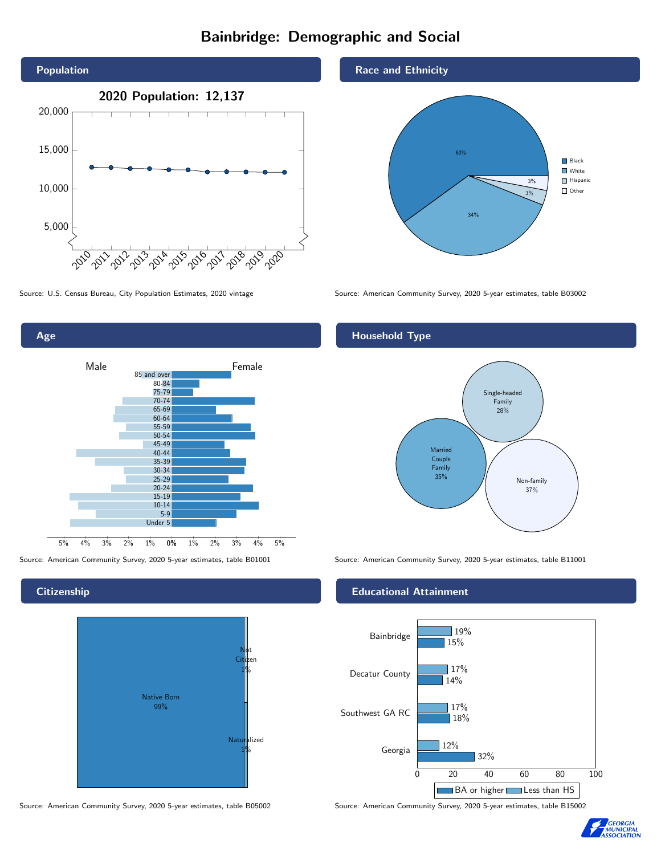# Bainbridge: Demographic and Social





## **Citizenship**



Source: American Community Survey, 2020 5-year estimates, table B05002 Source: American Community Survey, 2020 5-year estimates, table B15002





Source: U.S. Census Bureau, City Population Estimates, 2020 vintage Source: American Community Survey, 2020 5-year estimates, table B03002

## Household Type



Source: American Community Survey, 2020 5-year estimates, table B01001 Source: American Community Survey, 2020 5-year estimates, table B11001

#### Educational Attainment



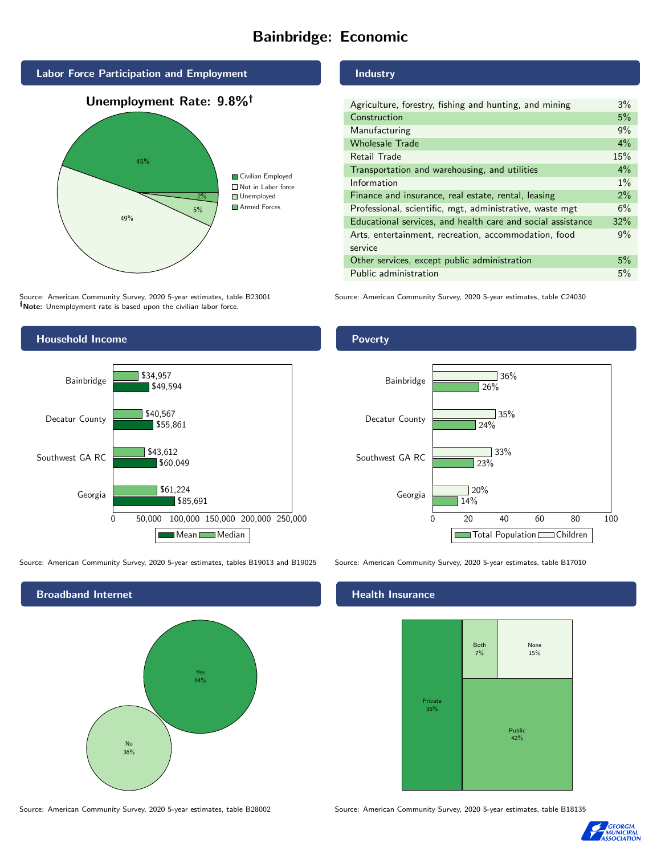# Bainbridge: Economic



Source: American Community Survey, 2020 5-year estimates, table B23001 Note: Unemployment rate is based upon the civilian labor force.

#### Industry

Poverty

| Agriculture, forestry, fishing and hunting, and mining      | 3%    |
|-------------------------------------------------------------|-------|
| Construction                                                | 5%    |
| Manufacturing                                               | 9%    |
| <b>Wholesale Trade</b>                                      | 4%    |
| Retail Trade                                                | 15%   |
| Transportation and warehousing, and utilities               | $4\%$ |
| Information                                                 | $1\%$ |
| Finance and insurance, real estate, rental, leasing         | 2%    |
| Professional, scientific, mgt, administrative, waste mgt    | 6%    |
| Educational services, and health care and social assistance | 32%   |
| Arts, entertainment, recreation, accommodation, food        | 9%    |
| service                                                     |       |
| Other services, except public administration                | 5%    |
| Public administration                                       | 5%    |
|                                                             |       |

Source: American Community Survey, 2020 5-year estimates, table C24030



Source: American Community Survey, 2020 5-year estimates, tables B19013 and B19025 Source: American Community Survey, 2020 5-year estimates, table B17010

Broadband Internet No 36% Yes 64%

Decatur County

Bainbridge



35%

36%

24%

26%

#### Health Insurance



Source: American Community Survey, 2020 5-year estimates, table B28002 Source: American Community Survey, 2020 5-year estimates, table B18135